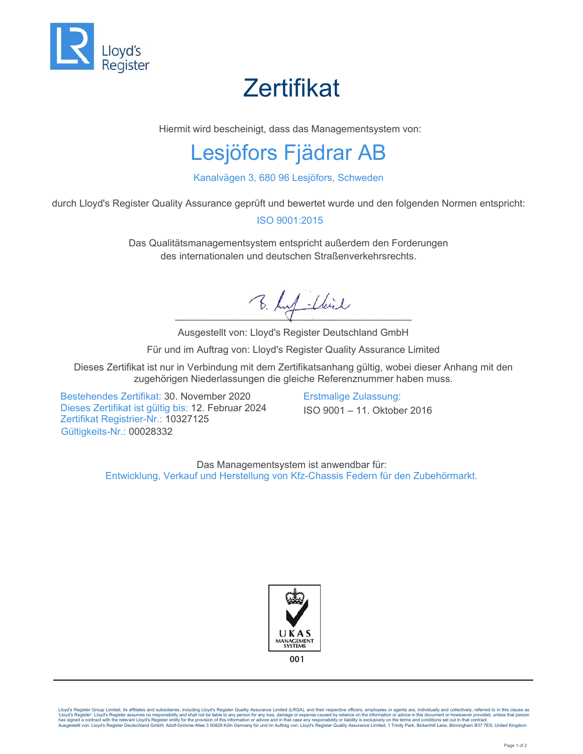

## **Zertifikat**

Hiermit wird bescheinigt, dass das Managementsystem von:

## Lesjöfors Fjädrar AB

Kanalvägen 3, 680 96 Lesjöfors, Schweden

durch Lloyd's Register Quality Assurance geprüft und bewertet wurde und den folgenden Normen entspricht:

#### ISO 9001:2015

Das Qualitätsmanagementsystem entspricht außerdem den Forderungen des internationalen und deutschen Straßenverkehrsrechts.

B. huf -lbil

Ausgestellt von: Lloyd's Register Deutschland GmbH

Für und im Auftrag von: Lloyd's Register Quality Assurance Limited

Dieses Zertifikat ist nur in Verbindung mit dem Zertifikatsanhang gültig, wobei dieser Anhang mit den zugehörigen Niederlassungen die gleiche Referenznummer haben muss.

Bestehendes Zertifikat: 30. November 2020 Erstmalige Zulassung: Dieses Zertifikat ist gültig bis: 12. Februar 2024 ISO 9001 – 11. Oktober 2016 Zertifikat Registrier-Nr.: 10327125 Gültigkeits-Nr.: 00028332

Das Managementsystem ist anwendbar für: Entwicklung, Verkauf und Herstellung von Kfz-Chassis Federn für den Zubehörmarkt.



Lloyd's Register Group Limited, its affiliates and subsidiaries, including Lloyd's Register Quality Assurance Limited (LRQA), and their respective officers, employees or agents are, individually and collectively, referred 'Lloyd's Register'. Lloyd's Register assumes no responsibility and shall not be liable to any person for any loss, damage or expense caused by reliance on the information or advice in this document or howsoever provided,